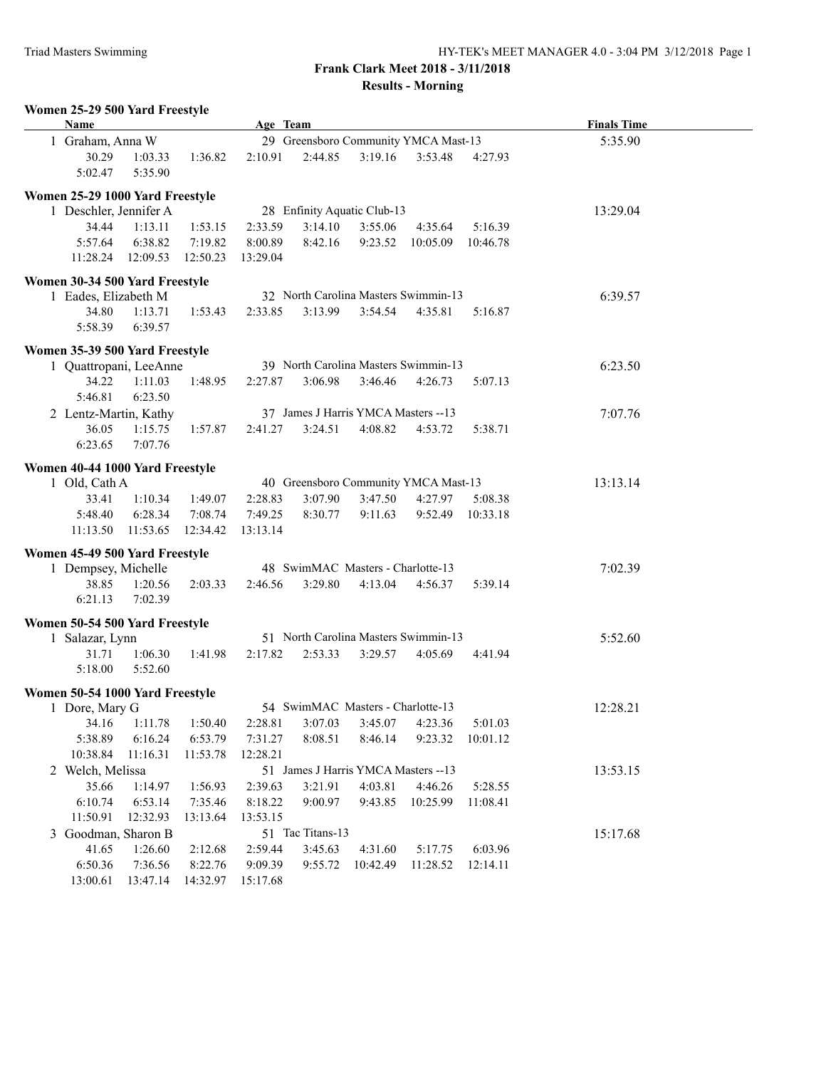## **Frank Clark Meet 2018 - 3/11/2018 Results - Morning**

|               | Women 25-29 500 Yard Freestyle<br><b>Name</b>     |                    |          | Age Team |                  |                                      |                  |          | <b>Finals Time</b> |  |
|---------------|---------------------------------------------------|--------------------|----------|----------|------------------|--------------------------------------|------------------|----------|--------------------|--|
|               | 1 Graham, Anna W                                  |                    |          |          |                  | 29 Greensboro Community YMCA Mast-13 |                  |          | 5:35.90            |  |
|               | 30.29<br>5:02.47                                  | 1:03.33<br>5:35.90 | 1:36.82  | 2:10.91  | 2:44.85          | 3:19.16                              | 3:53.48          | 4:27.93  |                    |  |
|               | Women 25-29 1000 Yard Freestyle                   |                    |          |          |                  |                                      |                  |          |                    |  |
|               | 1 Deschler, Jennifer A                            |                    |          |          |                  | 28 Enfinity Aquatic Club-13          |                  |          | 13:29.04           |  |
|               | 34.44                                             | 1:13.11            | 1:53.15  | 2:33.59  | 3:14.10          | 3:55.06                              | 4:35.64          | 5:16.39  |                    |  |
|               | 5:57.64                                           | 6:38.82            | 7:19.82  | 8:00.89  | 8:42.16          |                                      | 9:23.52 10:05.09 | 10:46.78 |                    |  |
|               |                                                   | 11:28.24 12:09.53  | 12:50.23 | 13:29.04 |                  |                                      |                  |          |                    |  |
|               | Women 30-34 500 Yard Freestyle                    |                    |          |          |                  |                                      |                  |          |                    |  |
|               | 1 Eades, Elizabeth M                              |                    |          |          |                  | 32 North Carolina Masters Swimmin-13 |                  |          | 6:39.57            |  |
|               | 34.80                                             | 1:13.71            | 1:53.43  | 2:33.85  | 3:13.99          | 3:54.54                              | 4:35.81          | 5:16.87  |                    |  |
|               | 5:58.39                                           | 6:39.57            |          |          |                  |                                      |                  |          |                    |  |
|               | Women 35-39 500 Yard Freestyle                    |                    |          |          |                  |                                      |                  |          |                    |  |
|               | 1 Quattropani, LeeAnne                            |                    |          |          |                  | 39 North Carolina Masters Swimmin-13 |                  |          | 6:23.50            |  |
|               | 34.22                                             | 1:11.03            | 1:48.95  | 2:27.87  | 3:06.98          | 3:46.46                              | 4:26.73          | 5:07.13  |                    |  |
|               | 5:46.81                                           | 6:23.50            |          |          |                  |                                      |                  |          |                    |  |
|               | 2 Lentz-Martin, Kathy                             |                    |          |          |                  | 37 James J Harris YMCA Masters -- 13 |                  |          | 7:07.76            |  |
|               | 36.05                                             | 1:15.75            | 1:57.87  | 2:41.27  | 3:24.51          | 4:08.82                              | 4:53.72          | 5:38.71  |                    |  |
|               | 6:23.65                                           | 7:07.76            |          |          |                  |                                      |                  |          |                    |  |
|               | Women 40-44 1000 Yard Freestyle                   |                    |          |          |                  |                                      |                  |          |                    |  |
| 1 Old, Cath A |                                                   |                    |          |          |                  | 40 Greensboro Community YMCA Mast-13 |                  | 13:13.14 |                    |  |
|               | 33.41                                             | 1:10.34            | 1:49.07  | 2:28.83  | 3:07.90          | 3:47.50                              | 4:27.97          | 5:08.38  |                    |  |
|               | 5:48.40                                           | 6:28.34            | 7:08.74  | 7:49.25  | 8:30.77          | 9:11.63                              | 9:52.49          | 10:33.18 |                    |  |
|               |                                                   | 11:13.50  11:53.65 | 12:34.42 | 13:13.14 |                  |                                      |                  |          |                    |  |
|               | Women 45-49 500 Yard Freestyle                    |                    |          |          |                  |                                      |                  |          |                    |  |
|               | 1 Dempsey, Michelle                               |                    |          |          |                  | 48 SwimMAC Masters - Charlotte-13    |                  |          | 7:02.39            |  |
|               | 38.85                                             | 1:20.56            | 2:03.33  | 2:46.56  | 3:29.80          | 4:13.04                              | 4:56.37          | 5:39.14  |                    |  |
|               | 6:21.13                                           | 7:02.39            |          |          |                  |                                      |                  |          |                    |  |
|               | Women 50-54 500 Yard Freestyle                    |                    |          |          |                  |                                      |                  |          |                    |  |
|               | 1 Salazar, Lynn                                   |                    |          |          |                  | 51 North Carolina Masters Swimmin-13 |                  |          | 5:52.60            |  |
|               | 31.71                                             | 1:06.30            | 1:41.98  | 2:17.82  | 2:53.33          | 3:29.57                              | 4:05.69          | 4:41.94  |                    |  |
|               | 5:18.00                                           | 5:52.60            |          |          |                  |                                      |                  |          |                    |  |
|               |                                                   |                    |          |          |                  |                                      |                  |          |                    |  |
|               | Women 50-54 1000 Yard Freestyle<br>1 Dore, Mary G |                    |          |          |                  | 54 SwimMAC Masters - Charlotte-13    |                  |          | 12:28.21           |  |
|               | 34.16                                             | 1:11.78            | 1:50.40  | 2:28.81  | 3:07.03          | 3:45.07                              | 4:23.36          | 5:01.03  |                    |  |
|               | 5:38.89                                           | 6:16.24            | 6:53.79  | 7:31.27  | 8:08.51          | 8:46.14                              | 9:23.32          | 10:01.12 |                    |  |
|               | 10:38.84                                          | 11:16.31           | 11:53.78 | 12:28.21 |                  |                                      |                  |          |                    |  |
|               | 2 Welch, Melissa                                  |                    |          |          |                  | 51 James J Harris YMCA Masters -- 13 |                  |          | 13:53.15           |  |
|               | 35.66                                             | 1:14.97            | 1:56.93  | 2:39.63  | 3:21.91          | 4:03.81                              | 4:46.26          | 5:28.55  |                    |  |
|               | 6:10.74                                           | 6:53.14            | 7:35.46  | 8:18.22  | 9:00.97          | 9:43.85                              | 10:25.99         | 11:08.41 |                    |  |
|               | 11:50.91                                          | 12:32.93           | 13:13.64 | 13:53.15 |                  |                                      |                  |          |                    |  |
|               | 3 Goodman, Sharon B                               |                    |          |          | 51 Tac Titans-13 |                                      |                  |          | 15:17.68           |  |
|               | 41.65                                             | 1:26.60            | 2:12.68  | 2:59.44  | 3:45.63          | 4:31.60                              | 5:17.75          | 6:03.96  |                    |  |
|               | 6:50.36                                           | 7:36.56            | 8:22.76  | 9:09.39  | 9:55.72          | 10:42.49                             | 11:28.52         | 12:14.11 |                    |  |
|               | 13:00.61                                          | 13:47.14           | 14:32.97 | 15:17.68 |                  |                                      |                  |          |                    |  |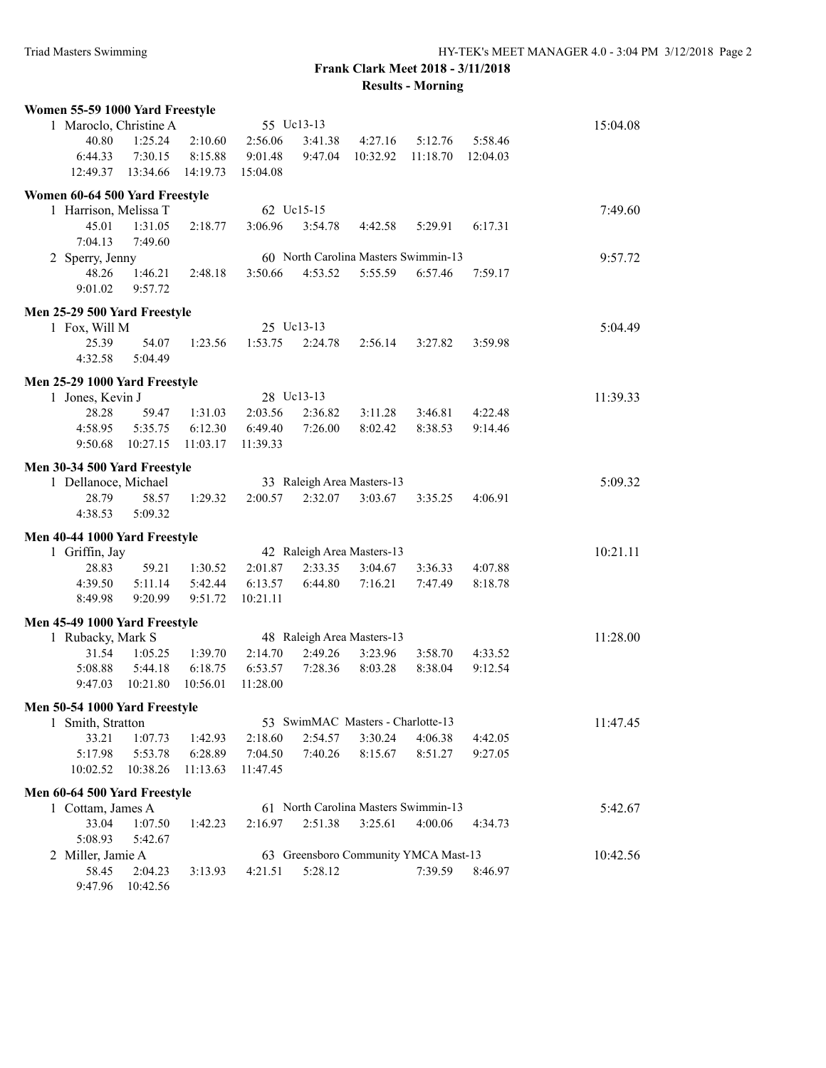## **Frank Clark Meet 2018 - 3/11/2018 Results - Morning**

| Women 55-59 1000 Yard Freestyle |                                                           |          |          |            |                                       |                                                 |          |          |
|---------------------------------|-----------------------------------------------------------|----------|----------|------------|---------------------------------------|-------------------------------------------------|----------|----------|
| 1 Maroclo, Christine A          |                                                           |          |          | 55 Uc13-13 |                                       |                                                 |          | 15:04.08 |
| 40.80                           | 1:25.24                                                   | 2:10.60  | 2:56.06  | 3:41.38    | 4:27.16                               | 5:12.76                                         | 5:58.46  |          |
| 6:44.33                         | 7:30.15                                                   | 8:15.88  | 9:01.48  | 9:47.04    | 10:32.92                              | 11:18.70                                        | 12:04.03 |          |
| 12:49.37                        | 13:34.66                                                  | 14:19.73 | 15:04.08 |            |                                       |                                                 |          |          |
| Women 60-64 500 Yard Freestyle  |                                                           |          |          |            |                                       |                                                 |          |          |
| 1 Harrison, Melissa T           |                                                           |          |          | 62 Uc15-15 |                                       |                                                 |          | 7:49.60  |
| 45.01                           | 1:31.05                                                   | 2:18.77  | 3:06.96  | 3:54.78    | 4:42.58                               | 5:29.91                                         | 6:17.31  |          |
| 7:04.13                         | 7:49.60                                                   |          |          |            |                                       |                                                 |          |          |
| 2 Sperry, Jenny                 |                                                           |          |          |            |                                       | 60 North Carolina Masters Swimmin-13            |          | 9:57.72  |
| 48.26                           | 1:46.21                                                   | 2:48.18  | 3:50.66  | 4:53.52    | 5:55.59                               | 6:57.46                                         | 7:59.17  |          |
| 9:01.02                         | 9:57.72                                                   |          |          |            |                                       |                                                 |          |          |
|                                 |                                                           |          |          |            |                                       |                                                 |          |          |
| Men 25-29 500 Yard Freestyle    |                                                           |          |          | 25 Uc13-13 |                                       |                                                 |          | 5:04.49  |
| 1 Fox, Will M<br>25.39          | 54.07                                                     | 1:23.56  | 1:53.75  | 2:24.78    |                                       |                                                 |          |          |
|                                 |                                                           |          |          |            | 2:56.14                               | 3:27.82                                         | 3:59.98  |          |
| 4:32.58                         | 5:04.49                                                   |          |          |            |                                       |                                                 |          |          |
| Men 25-29 1000 Yard Freestyle   |                                                           |          |          |            |                                       |                                                 |          |          |
| 1 Jones, Kevin J                |                                                           |          |          | 28 Uc13-13 |                                       |                                                 |          | 11:39.33 |
| 28.28                           | 59.47                                                     | 1:31.03  | 2:03.56  | 2:36.82    | 3:11.28                               | 3:46.81                                         | 4:22.48  |          |
| 4:58.95                         | 5:35.75                                                   | 6:12.30  | 6:49.40  | 7:26.00    | 8:02.42                               | 8:38.53                                         | 9:14.46  |          |
| 9:50.68                         | 10:27.15                                                  | 11:03.17 | 11:39.33 |            |                                       |                                                 |          |          |
| Men 30-34 500 Yard Freestyle    |                                                           |          |          |            |                                       |                                                 |          |          |
| 1 Dellanoce, Michael            |                                                           |          |          |            | 33 Raleigh Area Masters-13            |                                                 |          | 5:09.32  |
| 28.79                           | 58.57                                                     | 1:29.32  | 2:00.57  | 2:32.07    | 3:03.67                               | 3:35.25                                         | 4:06.91  |          |
| 4:38.53                         | 5:09.32                                                   |          |          |            |                                       |                                                 |          |          |
|                                 |                                                           |          |          |            |                                       |                                                 |          |          |
| Men 40-44 1000 Yard Freestyle   |                                                           |          |          |            |                                       |                                                 |          |          |
| 1 Griffin, Jay<br>28.83         | 59.21                                                     | 1:30.52  | 2:01.87  | 2:33.35    | 42 Raleigh Area Masters-13<br>3:04.67 | 3:36.33                                         | 4:07.88  | 10:21.11 |
| 4:39.50                         | 5:11.14                                                   | 5:42.44  | 6:13.57  | 6:44.80    | 7:16.21                               | 7:47.49                                         | 8:18.78  |          |
| 8:49.98                         | 9:20.99                                                   | 9:51.72  | 10:21.11 |            |                                       |                                                 |          |          |
|                                 |                                                           |          |          |            |                                       |                                                 |          |          |
| Men 45-49 1000 Yard Freestyle   |                                                           |          |          |            |                                       |                                                 |          |          |
| 1 Rubacky, Mark S               |                                                           |          |          |            | 48 Raleigh Area Masters-13            |                                                 |          | 11:28.00 |
| 31.54                           | 1:05.25                                                   | 1:39.70  | 2:14.70  | 2:49.26    | 3:23.96                               | 3:58.70                                         | 4:33.52  |          |
| 5:08.88                         | 5:44.18                                                   | 6:18.75  | 6:53.57  | 7:28.36    | 8:03.28                               | 8:38.04                                         | 9:12.54  |          |
| 9:47.03                         | 10:21.80                                                  | 10:56.01 | 11:28.00 |            |                                       |                                                 |          |          |
| Men 50-54 1000 Yard Freestyle   |                                                           |          |          |            |                                       |                                                 |          |          |
| 1 Smith, Stratton               |                                                           |          |          |            | 53 SwimMAC Masters - Charlotte-13     |                                                 |          | 11:47.45 |
| 33.21                           | 1:07.73                                                   | 1:42.93  | 2:18.60  | 2:54.57    | 3:30.24                               | 4:06.38                                         | 4:42.05  |          |
| 5:17.98                         | 5:53.78                                                   | 6:28.89  | 7:04.50  | 7:40.26    | 8:15.67                               | 8:51.27                                         | 9:27.05  |          |
| 10:02.52                        | 10:38.26                                                  | 11:13.63 | 11:47.45 |            |                                       |                                                 |          |          |
| Men 60-64 500 Yard Freestyle    |                                                           |          |          |            |                                       |                                                 |          |          |
| 1 Cottam, James A               | 5:42.67                                                   |          |          |            |                                       |                                                 |          |          |
| 33.04                           | 1:07.50                                                   | 1:42.23  | 2:16.97  | 2:51.38    | 3:25.61                               | 61 North Carolina Masters Swimmin-13<br>4:00.06 | 4:34.73  |          |
| 5:08.93                         | 5:42.67                                                   |          |          |            |                                       |                                                 |          |          |
|                                 | 63 Greensboro Community YMCA Mast-13<br>2 Miller, Jamie A |          |          |            |                                       |                                                 |          | 10:42.56 |
| 58.45                           | 2:04.23                                                   | 3:13.93  | 4:21.51  | 5:28.12    |                                       | 7:39.59                                         | 8:46.97  |          |
| 9:47.96                         | 10:42.56                                                  |          |          |            |                                       |                                                 |          |          |
|                                 |                                                           |          |          |            |                                       |                                                 |          |          |